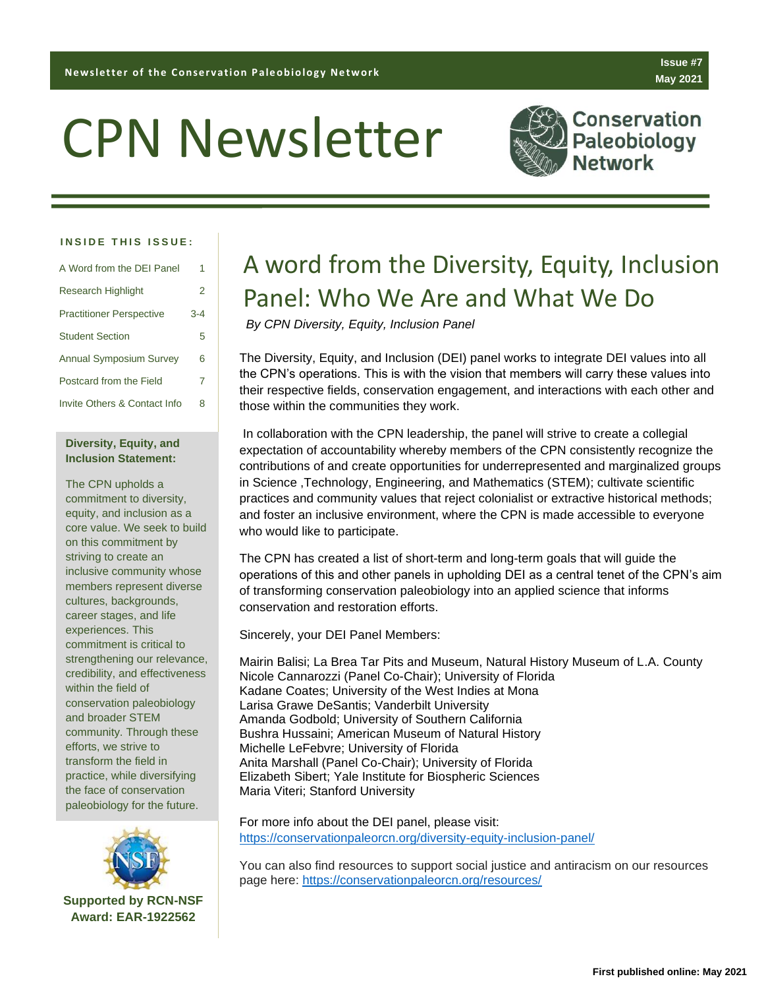# CPN Newsletter



**Conservation** Paleobiology Jetwork

**Issue #7 May 2021**

#### **INSIDE THIS ISSUE:**

| A Word from the DEI Panel       | 1       |
|---------------------------------|---------|
| Research Highlight              | 2       |
| <b>Practitioner Perspective</b> | $3 - 4$ |
| <b>Student Section</b>          | 5       |
| <b>Annual Symposium Survey</b>  | 6       |
| Postcard from the Field         | 7       |
| Invite Others & Contact Info    | 8       |

#### **Diversity, Equity, and Inclusion Statement:**

The CPN upholds a commitment to diversity, equity, and inclusion as a core value. We seek to build on this commitment by striving to create an inclusive community whose members represent diverse cultures, backgrounds, career stages, and life experiences. This commitment is critical to strengthening our relevance, credibility, and effectiveness within the field of conservation paleobiology and broader STEM community. Through these efforts, we strive to transform the field in practice, while diversifying the face of conservation paleobiology for the future.



# A word from the Diversity, Equity, Inclusion Panel: Who We Are and What We Do

*By CPN Diversity, Equity, Inclusion Panel*

The Diversity, Equity, and Inclusion (DEI) panel works to integrate DEI values into all the CPN's operations. This is with the vision that members will carry these values into their respective fields, conservation engagement, and interactions with each other and those within the communities they work.

In collaboration with the CPN leadership, the panel will strive to create a collegial expectation of accountability whereby members of the CPN consistently recognize the contributions of and create opportunities for underrepresented and marginalized groups in Science ,Technology, Engineering, and Mathematics (STEM); cultivate scientific practices and community values that reject colonialist or extractive historical methods; and foster an inclusive environment, where the CPN is made accessible to everyone who would like to participate.

The CPN has created a list of short-term and long-term goals that will guide the operations of this and other panels in upholding DEI as a central tenet of the CPN's aim of transforming conservation paleobiology into an applied science that informs conservation and restoration efforts.

Sincerely, your DEI Panel Members:

Mairin Balisi; La Brea Tar Pits and Museum, Natural History Museum of L.A. County Nicole Cannarozzi (Panel Co-Chair); University of Florida Kadane Coates; University of the West Indies at Mona Larisa Grawe DeSantis; Vanderbilt University Amanda Godbold; University of Southern California Bushra Hussaini; American Museum of Natural History Michelle LeFebvre; University of Florida Anita Marshall (Panel Co-Chair); University of Florida Elizabeth Sibert; Yale Institute for Biospheric Sciences Maria Viteri; Stanford University

For more info about the DEI panel, please visit: <https://conservationpaleorcn.org/diversity-equity-inclusion-panel/>

You can also find resources to support social justice and antiracism on our resources page here:<https://conservationpaleorcn.org/resources/>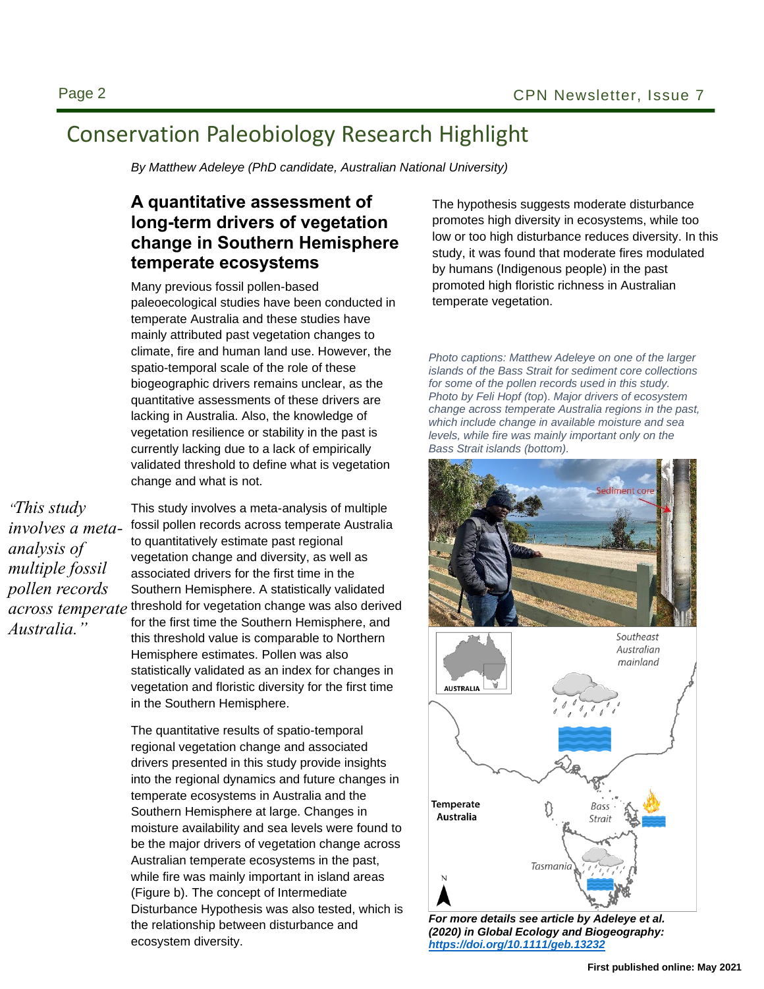## Conservation Paleobiology Research Highlight

*By Matthew Adeleye (PhD candidate, Australian National University)*

### **A quantitative assessment of long-term drivers of vegetation change in Southern Hemisphere temperate ecosystems**

Many previous fossil pollen-based paleoecological studies have been conducted in temperate Australia and these studies have mainly attributed past vegetation changes to climate, fire and human land use. However, the spatio-temporal scale of the role of these biogeographic drivers remains unclear, as the quantitative assessments of these drivers are lacking in Australia. Also, the knowledge of vegetation resilience or stability in the past is currently lacking due to a lack of empirically validated threshold to define what is vegetation change and what is not.

*"This study involves a metaanalysis of multiple fossil pollen records across temperate Australia."*

This study involves a meta-analysis of multiple fossil pollen records across temperate Australia to quantitatively estimate past regional vegetation change and diversity, as well as associated drivers for the first time in the Southern Hemisphere. A statistically validated threshold for vegetation change was also derived for the first time the Southern Hemisphere, and this threshold value is comparable to Northern Hemisphere estimates. Pollen was also statistically validated as an index for changes in vegetation and floristic diversity for the first time in the Southern Hemisphere.

The quantitative results of spatio-temporal regional vegetation change and associated drivers presented in this study provide insights into the regional dynamics and future changes in temperate ecosystems in Australia and the Southern Hemisphere at large. Changes in moisture availability and sea levels were found to be the major drivers of vegetation change across Australian temperate ecosystems in the past, while fire was mainly important in island areas (Figure b). The concept of Intermediate Disturbance Hypothesis was also tested, which is the relationship between disturbance and ecosystem diversity.

The hypothesis suggests moderate disturbance promotes high diversity in ecosystems, while too low or too high disturbance reduces diversity. In this study, it was found that moderate fires modulated by humans (Indigenous people) in the past promoted high floristic richness in Australian temperate vegetation.

*Photo captions: Matthew Adeleye on one of the larger islands of the Bass Strait for sediment core collections for some of the pollen records used in this study. Photo by Feli Hopf (top*). *Major drivers of ecosystem change across temperate Australia regions in the past, which include change in available moisture and sea levels, while fire was mainly important only on the Bass Strait islands (bottom).*





*For more details see article by Adeleye et al. (2020) in Global Ecology and Biogeography: <https://doi.org/10.1111/geb.13232>*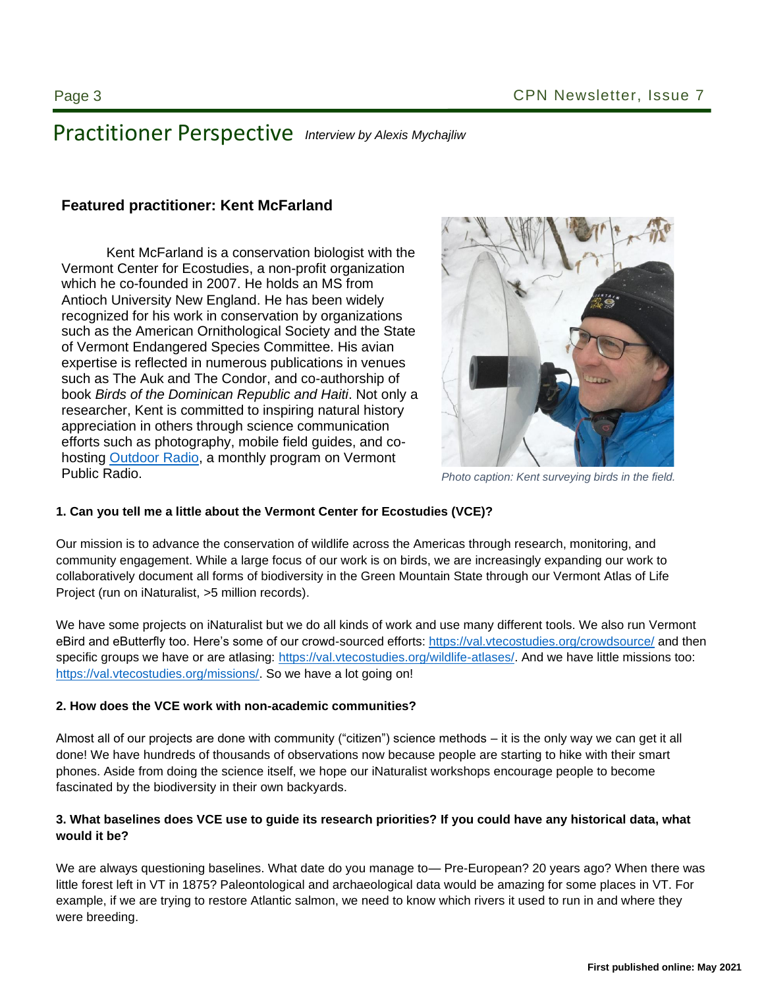### Practitioner Perspective *Interview by Alexis Mychajliw*

#### **Featured practitioner: Kent McFarland**

Kent McFarland is a conservation biologist with the  $\mathbb{R}$ Vermont Center for Ecostudies, a non-profit organization Antioch University New England. He has been widely recognized for his work in conservation by organizations **register the conservation** such as the American Ornithological Society and the State of Vermont Endangered Species Committee. His avian expertise is reflected in numerous publications in venues  $\mathbb{Z}$  . This is a set of  $\mathbb{Z}$ such as The Auk and The Condor, and co-authorship of  $\Box$  The state of book *Birds of the Dominican Republic and Haiti*. Not only a researcher, Kent is committed to inspiring natural history **the set of the set of the set of the set of the set of the set of the set of the set of the set of the set of the set of the set of the set of the set of the set** appreciation in others through science communication **appreciation** efforts such as photography, mobile field guides, and cohosting <u>Outdoor Radio,</u> a monthly program on Vermont which he co-founded in 2007. He holds an MS from Public Radio.



Photo caption: Kent surveying birds in the field.

#### 1. Can you tell me a little about the Vermont Center for Ecostudies (VCE)?

Our mission is to advance the conservation of wildlife across the Americas through research, monitoring, and community engagement. While a large focus of our work is on birds, we are increasingly expanding our work to collaboratively document all forms of biodiversity in the Green Mountain State through our Vermont Atlas of Life Project (run on iNaturalist, >5 million records).

We have some projects on iNaturalist but we do all kinds of work and use many different tools. We also run Vermont eBird and eButterfly too. Here's some of our crowd-sourced efforts:<https://val.vtecostudies.org/crowdsource/> and then specific groups we have or are atlasing: [https://val.vtecostudies.org/wildlife-atlases/.](https://val.vtecostudies.org/wildlife-atlases/) And we have little missions too: [https://val.vtecostudies.org/missions/.](https://val.vtecostudies.org/missions/) So we have a lot going on!

#### **2. How does the VCE work with non-academic communities?**

Almost all of our projects are done with community ("citizen") science methods – it is the only way we can get it all done! We have hundreds of thousands of observations now because people are starting to hike with their smart phones. Aside from doing the science itself, we hope our iNaturalist workshops encourage people to become fascinated by the biodiversity in their own backyards.

#### **3. What baselines does VCE use to guide its research priorities? If you could have any historical data, what would it be?**

We are always questioning baselines. What date do you manage to— Pre-European? 20 years ago? When there was little forest left in VT in 1875? Paleontological and archaeological data would be amazing for some places in VT. For example, if we are trying to restore Atlantic salmon, we need to know which rivers it used to run in and where they were breeding.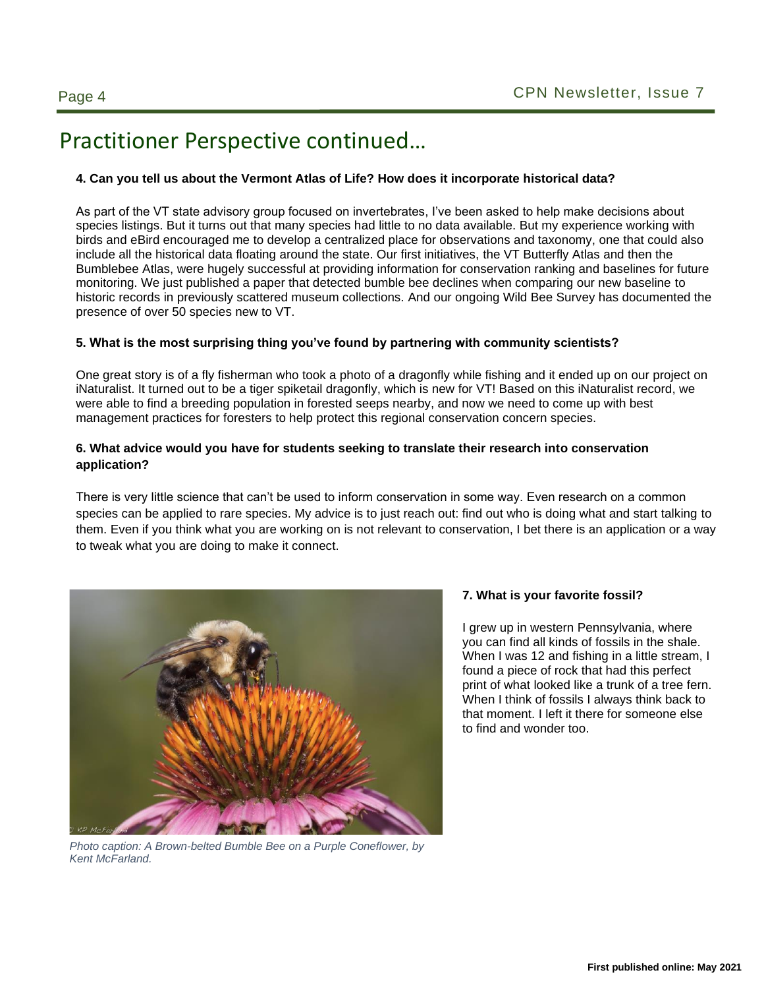### Practitioner Perspective continued…

#### **4. Can you tell us about the Vermont Atlas of Life? How does it incorporate historical data?**

As part of the VT state advisory group focused on invertebrates, I've been asked to help make decisions about species listings. But it turns out that many species had little to no data available. But my experience working with birds and eBird encouraged me to develop a centralized place for observations and taxonomy, one that could also include all the historical data floating around the state. Our first initiatives, the VT Butterfly Atlas and then the Bumblebee Atlas, were hugely successful at providing information for conservation ranking and baselines for future monitoring. We just published a paper that detected bumble bee declines when comparing our new baseline to historic records in previously scattered museum collections. And our ongoing Wild Bee Survey has documented the presence of over 50 species new to VT.

#### **5. What is the most surprising thing you've found by partnering with community scientists?**

One great story is of a fly fisherman who took a photo of a dragonfly while fishing and it ended up on our project on iNaturalist. It turned out to be a tiger spiketail dragonfly, which is new for VT! Based on this iNaturalist record, we were able to find a breeding population in forested seeps nearby, and now we need to come up with best management practices for foresters to help protect this regional conservation concern species.

#### **6. What advice would you have for students seeking to translate their research into conservation application?**

There is very little science that can't be used to inform conservation in some way. Even research on a common species can be applied to rare species. My advice is to just reach out: find out who is doing what and start talking to them. Even if you think what you are working on is not relevant to conservation, I bet there is an application or a way to tweak what you are doing to make it connect.



*Photo caption: A Brown-belted Bumble Bee on a Purple Coneflower, by Kent McFarland.* 

#### **7. What is your favorite fossil?**

I grew up in western Pennsylvania, where you can find all kinds of fossils in the shale. When I was 12 and fishing in a little stream, I found a piece of rock that had this perfect print of what looked like a trunk of a tree fern. When I think of fossils I always think back to that moment. I left it there for someone else to find and wonder too.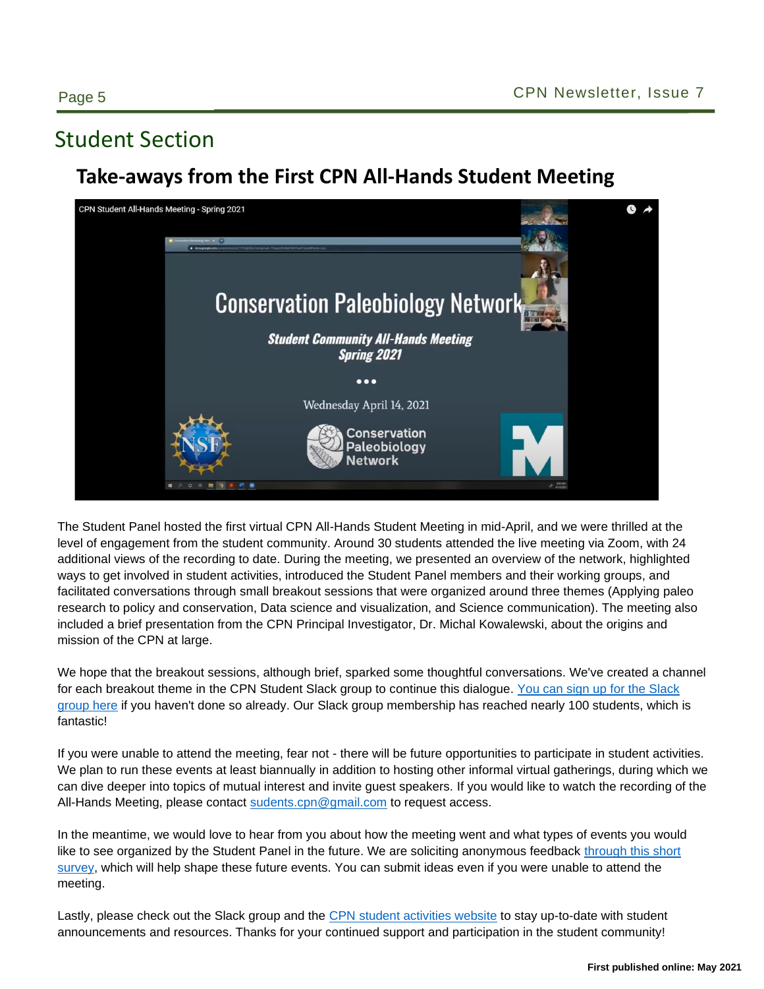### Student Section

### **Take-aways from the First CPN All-Hands Student Meeting**



The Student Panel hosted the first virtual CPN All-Hands Student Meeting in mid-April, and we were thrilled at the level of engagement from the student community. Around 30 students attended the live meeting via Zoom, with 24 additional views of the recording to date. During the meeting, we presented an overview of the network, highlighted ways to get involved in student activities, introduced the Student Panel members and their working groups, and facilitated conversations through small breakout sessions that were organized around three themes (Applying paleo research to policy and conservation, Data science and visualization, and Science communication). The meeting also included a brief presentation from the CPN Principal Investigator, Dr. Michal Kowalewski, about the origins and mission of the CPN at large.

We hope that the breakout sessions, although brief, sparked some thoughtful conversations. We've created a channel for each breakout theme in the CPN Student Slack group to continue this dialogue. [You can sign up for the Slack](https://forms.gle/HKE9mskgdvwVyRgs5)  [group here](https://forms.gle/HKE9mskgdvwVyRgs5) if you haven't done so already. Our Slack group membership has reached nearly 100 students, which is fantastic!

If you were unable to attend the meeting, fear not - there will be future opportunities to participate in student activities. We plan to run these events at least biannually in addition to hosting other informal virtual gatherings, during which we can dive deeper into topics of mutual interest and invite guest speakers. If you would like to watch the recording of the All-Hands Meeting, please contact [sudents.cpn@gmail.com](mailto:sudents.cpn@gmail.com) to request access.

In the meantime, we would love to hear from you about how the meeting went and what types of events you would like to see organized by the Student Panel in the future. We are soliciting anonymous feedback [through this short](https://forms.gle/45Rnuxd6rg8EJYrL9)  [survey,](https://forms.gle/45Rnuxd6rg8EJYrL9) which will help shape these future events. You can submit ideas even if you were unable to attend the meeting.

Lastly, please check out the Slack group and the [CPN student activities website](https://conservationpaleorcn.org/student-activities/) to stay up-to-date with student announcements and resources. Thanks for your continued support and participation in the student community!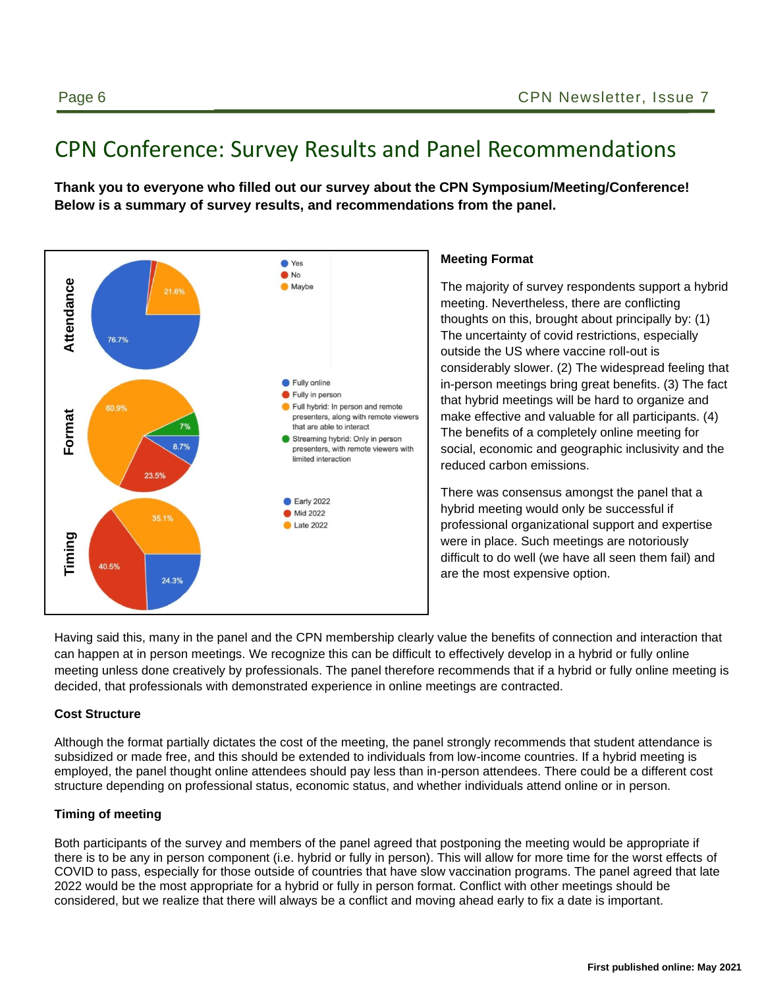# CPN Conference: Survey Results and Panel Recommendations

**Thank you to everyone who filled out our survey about the CPN Symposium/Meeting/Conference! Below is a summary of survey results, and recommendations from the panel.**



#### **Meeting Format**

The majority of survey respondents support a hybrid meeting. Nevertheless, there are conflicting thoughts on this, brought about principally by: (1) The uncertainty of covid restrictions, especially outside the US where vaccine roll-out is considerably slower. (2) The widespread feeling that in-person meetings bring great benefits. (3) The fact that hybrid meetings will be hard to organize and make effective and valuable for all participants. (4) The benefits of a completely online meeting for social, economic and geographic inclusivity and the reduced carbon emissions.

There was consensus amongst the panel that a hybrid meeting would only be successful if professional organizational support and expertise were in place. Such meetings are notoriously difficult to do well (we have all seen them fail) and are the most expensive option.

Having said this, many in the panel and the CPN membership clearly value the benefits of connection and interaction that can happen at in person meetings. We recognize this can be difficult to effectively develop in a hybrid or fully online meeting unless done creatively by professionals. The panel therefore recommends that if a hybrid or fully online meeting is decided, that professionals with demonstrated experience in online meetings are contracted.

#### **Cost Structure**

Although the format partially dictates the cost of the meeting, the panel strongly recommends that student attendance is subsidized or made free, and this should be extended to individuals from low-income countries. If a hybrid meeting is employed, the panel thought online attendees should pay less than in-person attendees. There could be a different cost structure depending on professional status, economic status, and whether individuals attend online or in person.

#### **Timing of meeting**

Both participants of the survey and members of the panel agreed that postponing the meeting would be appropriate if there is to be any in person component (i.e. hybrid or fully in person). This will allow for more time for the worst effects of COVID to pass, especially for those outside of countries that have slow vaccination programs. The panel agreed that late 2022 would be the most appropriate for a hybrid or fully in person format. Conflict with other meetings should be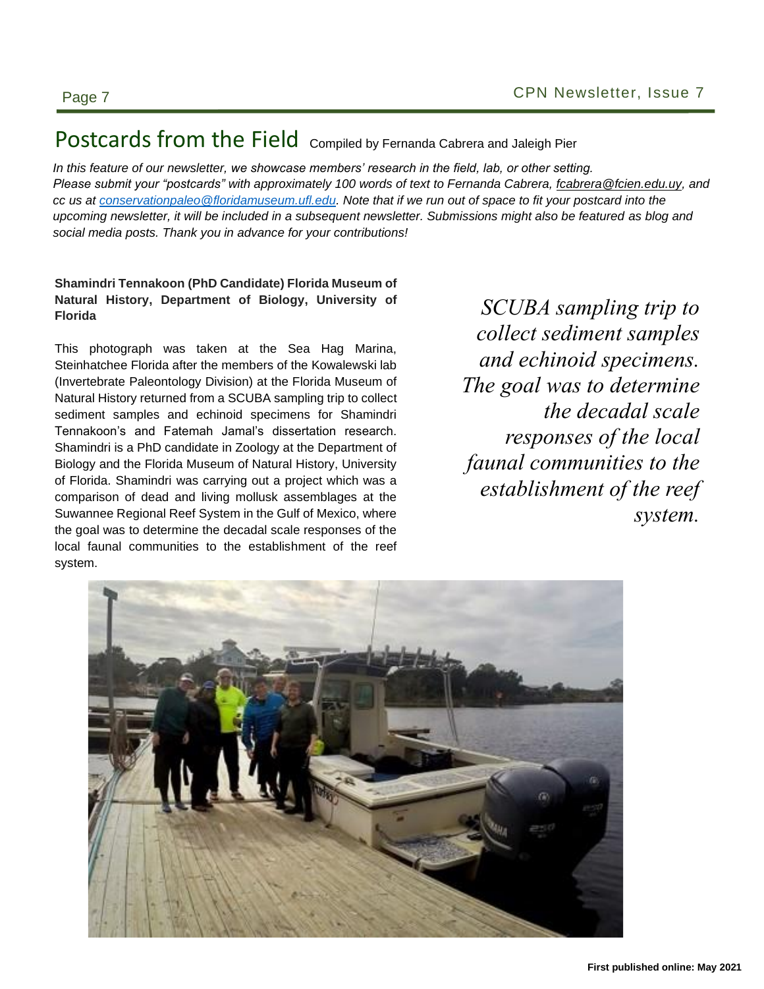### Postcards from the Field Compiled by Fernanda Cabrera and Jaleigh Pier

In this feature of our newsletter, we showcase members' research in the field, lab, or other setting. Please submit your "postcards" with approximately 100 words of text to Fernanda Cabrera, *fcabrera@fcien.edu.uy*, and *cc us at <u>conservationpaleo</u>* @floridamuseum.ufl.edu. Note that if we run out of space to fit your postcard into the upcoming newsletter, it will be included in a subsequent newsletter. Submissions might also be featured as blog and social media posts. Thank you in advance for your contributions!

#### Shamindri Tennakoon (PhD Candidate) Florida Museum of **Natural History, Department of Biology, University of Florida**

This photograph was taken at the Sea Hag Marina, Steinhatchee Florida after the members of the Kowalewski lab (Invertebrate Paleontology Division) at the Florida Museum of Natural History returned from a SCUBA sampling trip to collect sediment samples and echinoid specimens for Shamindri Tennakoon's and Fatemah Jamal's dissertation research. Shamindri is a PhD candidate in Zoology at the Department of Biology and the Florida Museum of Natural History, University of Florida. Shamindri was carrying out a project which was a comparison of dead and living mollusk assemblages at the Suwannee Regional Reef System in the Gulf of Mexico, where the goal was to determine the decadal scale responses of the local faunal communities to the establishment of the reef system.

sity of SCUBA sampling trip to *collect sediment samples Mallita,* and echinoid specimens. rida Museum of *The goal was to determine* **Text here.** Text here. The decadal scale ation research. *responses of the local faunal communities to the establishment of the reef system.*